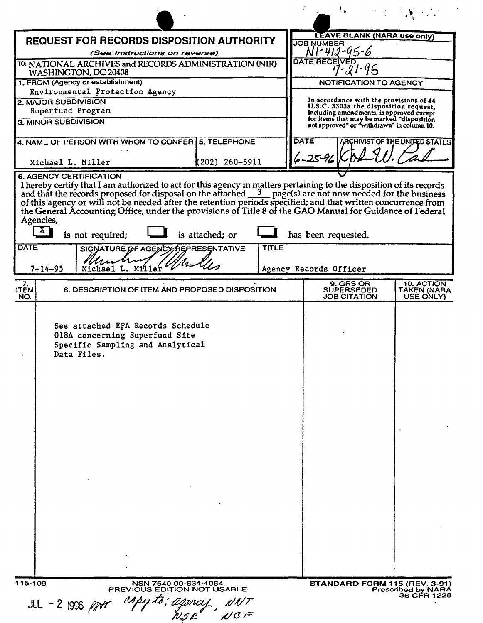| <b>REQUEST FOR RECORDS DISPOSITION AUTHORITY</b>                                                                                                                                                                                                                                                                                | <b>LEAVE BLANK (NARA use only)</b><br><b>JOB NUMBER</b>                                 |  |
|---------------------------------------------------------------------------------------------------------------------------------------------------------------------------------------------------------------------------------------------------------------------------------------------------------------------------------|-----------------------------------------------------------------------------------------|--|
| (See Instructions on reverse)                                                                                                                                                                                                                                                                                                   | NI-412-95-6                                                                             |  |
| TO: NATIONAL ARCHIVES and RECORDS ADMINISTRATION (NIR)<br>WASHINGTON, DC 20408                                                                                                                                                                                                                                                  | <b>DATE RECEIVED</b><br>7-21-95                                                         |  |
| 1. FROM (Agency or establishment)<br>Environmental Protection Agency                                                                                                                                                                                                                                                            | <b>NOTIFICATION TO AGENCY</b>                                                           |  |
| 2. MAJOR SUBDIVISION                                                                                                                                                                                                                                                                                                            | In accordance with the provisions of 44                                                 |  |
| Superfund Program                                                                                                                                                                                                                                                                                                               | U.S.C. 3303a the disposition request,<br>including amendments, is approved except       |  |
| 3. MINOR SUBDIVISION                                                                                                                                                                                                                                                                                                            | for items that may be marked "disposition<br>not approved" or "withdrawn" in column 10. |  |
| 4. NAME OF PERSON WITH WHOM TO CONFER   5. TELEPHONE                                                                                                                                                                                                                                                                            | <b>DATE</b><br>ARCHIVIST OF THE UNITED STATES<br>$6 - 25 - 96$                          |  |
| (202) 260–5911<br>Michael L. Miller<br><b>6. AGENCY CERTIFICATION</b>                                                                                                                                                                                                                                                           |                                                                                         |  |
| the General Accounting Office, under the provisions of Title 8 of the GAO Manual for Guidance of Federal<br>Agencies,<br>$\begin{bmatrix} \mathbf{X} \end{bmatrix}$<br>is not required;<br>is attached; or<br><b>DATE</b><br><b>TITLE</b><br>SIGNATURE OF AGENCY REPRESENTATIVE<br>Muntre<br>Michael L. Miller<br>$7 - 14 - 95$ | has been requested.<br>Agency Records Officer                                           |  |
| 7.                                                                                                                                                                                                                                                                                                                              | 9. GRS OR<br>10. ACTION                                                                 |  |
| <b>ITEM</b><br>8. DESCRIPTION OF ITEM AND PROPOSED DISPOSITION<br>NO.                                                                                                                                                                                                                                                           | <b>SUPERSEDED</b><br>TAKEN (NARA<br><b>JOB CITATION</b><br>USE ONLY)                    |  |
| See attached EPA Records Schedule<br>018A concerning Superfund Site<br>Specific Sampling and Analytical<br>Data Files.                                                                                                                                                                                                          |                                                                                         |  |
|                                                                                                                                                                                                                                                                                                                                 |                                                                                         |  |
| 115-109<br>NSN 7540-00-634-4064<br>PREVIOUS EDITION NOT USABLE<br>copy to: agence<br>JUL - 2 1996 $/747$                                                                                                                                                                                                                        | <b>STANDARD FORM 115 (REV. 3-91)</b><br><b>Prescribed by NARA</b><br>36 CFR 1228        |  |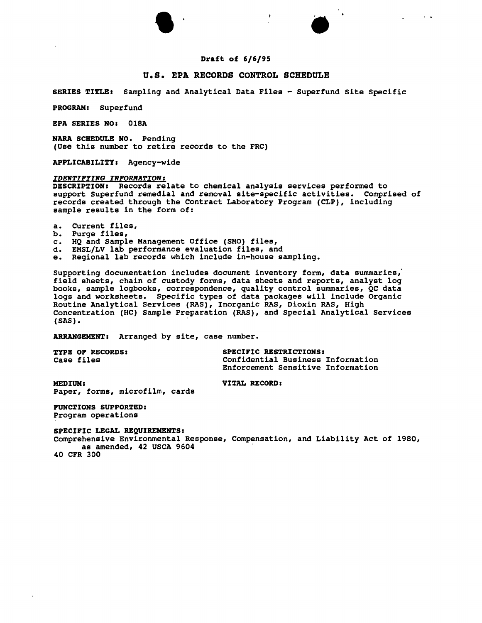



 $\mathbf{r} = \mathbf{r}$ 

# Draft of 6/6/95

## u.s. EPA RECORDS CONTROL SCHEDULE

SERIES TITLE: Sampling and Analytical Data Files - Superfund site Specific

PROGRAM: Superfund

EPA SERIES NO: 018A

NARA SCHEDULE NO. Pending (use this number to retire records to the FRC)

APPLICABILITY: Agency-wide

## **IDENTIFYING INFORMATION:**

DESCRIPTION: Records relate to chemical analysis services performed to support Superfund remedial and removal site-specific activities. Comprised of records created through the Contract Laboratory Program (CLP), including sample results in the form of:

a. Current files,

b. Purge files,

c. HQ and Sample Management Office (SMO) files,<br>d. EMSL/LV lab performance evaluation files, an EMSL/LV lab performance evaluation files, and

e. Regional lab records which include in-house sampling.

Supporting documentation includes document inventory form, data summaries,' field sheets, chain of custody forms, data sheets and reports, analyst log books, sample logbooks, correspondence, quality control summaries, QC data logs and worksheets. Specific types of data packages will include Organie Routine Analytical Services (RAS), Inorganic RAS, Dioxin RAS, High Concentration (HC) Sample Preparation (RAS), and Special Analytical Services (SAS). .

ARRANGEMENT: Arranged by site, case number.

TYPE OP RECORDS: Case files SPECIPIC RESTRICTIONS: Confidential Business Information Enforcement Sensitive Information

VITAL RECORD:

MEDIUM: Paper, forms, microfilm, cards

FUNCTIONS SUPPORTED: Program operations

SPECIPIC LEGAL REQUIREMENTS:

Comprehensive Environmental Response, Compensation, and Liability Act of 1980, as amended, 42 USCA 9604 40 CFR 300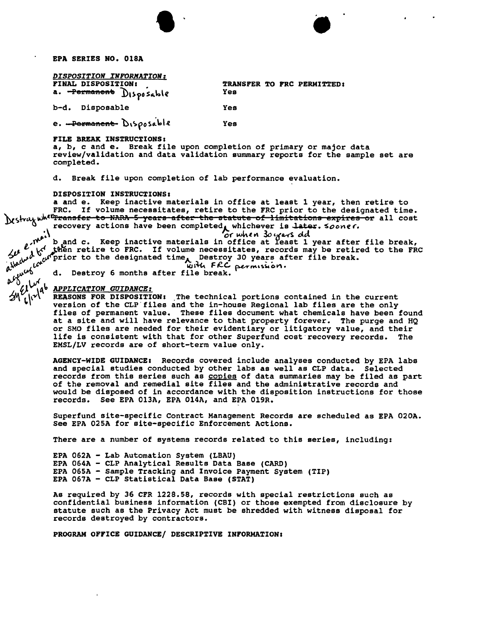EPA SERIES NO. OlSA

| DISPOSITION INFORMATION:                      |                              |  |
|-----------------------------------------------|------------------------------|--|
| FINAL DISPOSITION:<br>a. Permanent Disposable | <b>TRANSFER TO FI</b><br>Yes |  |
| b-d. Disposable                               | Yes                          |  |

RC PERMITTED:

e. Permanent Disposable Yes

#### FILE BREAK INSTRUCTIONS:

a, b, c and e. Break file upon completion of primary or major data review/validation and data validation summary reports for the sample set are completed.

 $\bullet$   $\bullet$ 

d. Break file upon completion of lab performance evaluation.

### DISPOSITION INSTRUCTIONS:

a and e. Keep inactive materials in office at least 1 year, then retire to FRC. If volume necessitates, retire to the FRC prior to the designated time. what when the mann incorporations, it is the statute of limitations expires or all cost. recovery actions have been completed, whichever is later. sooner.<br>A *or* when 30 years old

 $t_{ijk}$   $t_{ijk}$   $t_{ijk}$   $t_{ijk}$   $t_{ijk}$   $t_{ijk}$  and c. Keep inactive materials in office at least 1 year after file break,  $t_{ijk}$   $t_{ijk}$   $t_{ijk}$  and  $t_{ijk}$  to FRC. If volume necessitates, records may be retired to the FRC *r* w<sup>o</sup> inferior to the designated time Destroy 30 years after file break.<br>all the sermission.

 $^{\prime\prime}$  , $\omega^{\omega_{\text{O}}}$  d. Destroy 6 months after file break.

#### *QVI~'o APPLICATION GUIDANCE:*

.fA *t.\(V~*

REASONS FOR DISPOSITION: The technical portions contained in the current version of the CLP'files and the in-house Regional lab files are the only files of permanent value. These files document what chemicals have been found at a site and will have relevance to that property forever. The purge and HQ or SMO files are needed for their evidentiary or litigatory value, and their life is consistent with that for other Superfund cost recovery records. The EMSL/LV records are of short-term value only.

AGENCY-WIDE GUIDANCE: Records covered include analyses conducted by EPA labs and special studies conducted by other labs as well as CLP data. Selected records from this series such as copies of data summaries may be filed as part of the removal and remedial site files and the administrative records and would be disposed of in accordance with the disposition instructions for those records. See EPA 013A, EPA 014A, and EPA 019R.

Superfund site-specific Contract Management Records are scheduled as EPA 020A. See EPA 02SA for site-specific Enforcement Actions.

There are a number of systems records related to this series, including:

EPA 062A - Lab Automation System (LBAU) EPA 064A - CLP Analytical Results Data Base (CARD) EPA 065A - Sample Tracking and Invoice Payment System (TIP) EPA 067A - CLP statistical Data Base (STAT)

As required by 36 CFR 1228.58, records with special restrictions such as confidential business information (CBI) or those exempted from disclosure by statute such as the Privacy Act must be shredded with witness disposal for records destroyed by contractors.

PROGRAM OFFICE GUIDANCE/ DESCRIPTIVE INFORMATION:

**NWML**